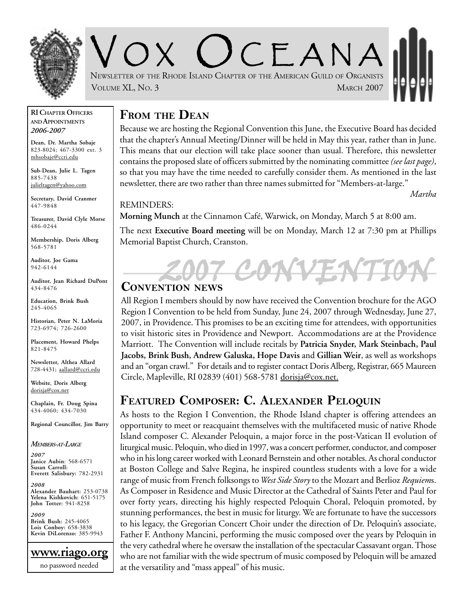

 $CFANA$ NEWSLETTER OF THE RHODE ISLAND CHAPTER OF THE AMERICAN GUILD OF ORGANISTS VOLUME XL, NO. 3 MARCH 2007

#### **RI CHAPTER OFFICERS AND APPOINTMENTS** *2006-2007*

**Dean, Dr. Martha Sobaje** 823-8024; 467-3300 ext. 3 mhsobaje@ccri.edu

**Sub-Dean, Julie L. Tagen** 885-7438 julieltagen@yahoo.com

**Secretary, David Cranmer** 447-9848

**Treasurer, David Clyle Morse** 486-0244

**Membership, Doris Alberg** 568-5781

**Auditor, Joe Gama** 942-6144

**Auditor, Jean Richard DuPont** 434-8476

**Education, Brink Bush** 245-4065

**Historian, Peter N. LaMoria** 723-6974; 726-2600

**Placement, Howard Phelps** 821-8475

**Newsletter, Althea Allard** 728-4431; aallard@ccri.edu

**Website**, **Doris Alberg** dorisja@cox.net

**Chaplain, Fr. Doug Spina** 434-4060; 434-7030

**Regional Councillor, Jim Barry**

*MEMBERS-AT-LARGE*

*2007* **Janice Aubin**: 568-6571 **Susan Carroll: Everett Salisbury:** 782-2931

*2008* **Alexander Bauhart:** 253-0738 **Yelena Kishkovich:** 651-5175 **John Totter:** 941-8258

*2009* **Brink Bush:** 245-4065 **Lois Conboy:** 658-3838 **Kevin DiLorenzo:** 385-9943



### **FROM THE DEAN**

Because we are hosting the Regional Convention this June, the Executive Board has decided that the chapter's Annual Meeting/Dinner will be held in May this year, rather than in June. This means that our election will take place sooner than usual. Therefore, this newsletter contains the proposed slate of officers submitted by the nominating committee *(see last page)*, so that you may have the time needed to carefully consider them. As mentioned in the last newsletter, there are two rather than three names submitted for "Members-at-large."

*Martha*

REMINDERS:

**Morning Munch** at the Cinnamon Café, Warwick, on Monday, March 5 at 8:00 am.

The next **Executive Board meeting** will be on Monday, March 12 at 7:30 pm at Phillips Memorial Baptist Church, Cranston.

# $7$ CONT **CONVENTION NEWS**

All Region I members should by now have received the Convention brochure for the AGO Region I Convention to be held from Sunday, June 24, 2007 through Wednesday, June 27, 2007, in Providence. This promises to be an exciting time for attendees, with opportunities to visit historic sites in Providence and Newport. Accommodations are at the Providence Marriott. The Convention will include recitals by **Patricia Snyder, Mark Steinbach, Paul Jacobs, Brink Bush, Andrew Galuska, Hope Davis** and **Gillian Weir**, as well as workshops and an "organ crawl." For details and to register contact Doris Alberg, Registrar, 665 Maureen Circle, Mapleville, RI 02839 (401) 568-5781 dorisja@cox.net.

### **FEATURED COMPOSER: C. ALEXANDER PELOQUIN**

As hosts to the Region I Convention, the Rhode Island chapter is offering attendees an opportunity to meet or reacquaint themselves with the multifaceted music of native Rhode Island composer C. Alexander Peloquin, a major force in the post-Vatican II evolution of liturgical music. Peloquin, who died in 1997, was a concert performer, conductor, and composer who in his long career worked with Leonard Bernstein and other notables. As choral conductor at Boston College and Salve Regina, he inspired countless students with a love for a wide range of music from French folksongs to *West Side Story* to the Mozart and Berlioz *Requiem*s. As Composer in Residence and Music Director at the Cathedral of Saints Peter and Paul for over forty years, directing his highly respected Peloquin Choral, Peloquin promoted, by stunning performances, the best in music for liturgy. We are fortunate to have the successors to his legacy, the Gregorian Concert Choir under the direction of Dr. Peloquin's associate, Father F. Anthony Mancini, performing the music composed over the years by Peloquin in the very cathedral where he oversaw the installation of the spectacular Cassavant organ. Those who are not familiar with the wide spectrum of music composed by Peloquin will be amazed at the versatility and "mass appeal" of his music.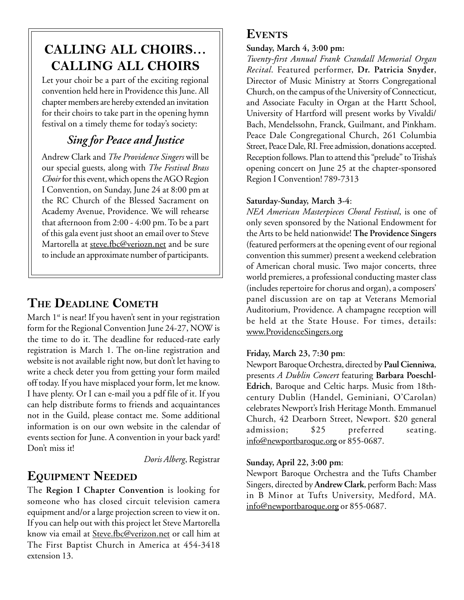## **CALLING ALL CHOIRS… CALLING ALL CHOIRS**

Let your choir be a part of the exciting regional convention held here in Providence this June. All chapter members are hereby extended an invitation for their choirs to take part in the opening hymn festival on a timely theme for today's society:

### *Sing for Peace and Justice*

Andrew Clark and *The Providence Singers* will be our special guests, along with *The Festival Brass Choir* for this event, which opens the AGO Region I Convention, on Sunday, June 24 at 8:00 pm at the RC Church of the Blessed Sacrament on Academy Avenue, Providence. We will rehearse that afternoon from 2:00 - 4:00 pm. To be a part of this gala event just shoot an email over to Steve Martorella at steve.fbc@veriozn.net and be sure to include an approximate number of participants.

### **THE DEADLINE COMETH**

March  $1^{st}$  is near! If you haven't sent in your registration form for the Regional Convention June 24-27, NOW is the time to do it. The deadline for reduced-rate early registration is March 1. The on-line registration and website is not available right now, but don't let having to write a check deter you from getting your form mailed off today. If you have misplaced your form, let me know. I have plenty. Or I can e-mail you a pdf file of it. If you can help distribute forms to friends and acquaintances not in the Guild, please contact me. Some additional information is on our own website in the calendar of events section for June. A convention in your back yard! Don't miss it!

*Doris Alberg*, Registrar

### **EQUIPMENT NEEDED**

The **Region I Chapter Convention** is looking for someone who has closed circuit television camera equipment and/or a large projection screen to view it on. If you can help out with this project let Steve Martorella know via email at Steve.fbc@verizon.net or call him at The First Baptist Church in America at 454-3418 extension 13.

### **EVENTS**

#### **Sunday, March 4, 3:00 pm:**

*Twenty-first Annual Frank Crandall Memorial Organ Recital*. Featured performer, **Dr. Patricia Snyder**, Director of Music Ministry at Storrs Congregational Church, on the campus of the University of Connecticut, and Associate Faculty in Organ at the Hartt School, University of Hartford will present works by Vivaldi/ Bach, Mendelssohn, Franck, Guilmant, and Pinkham. Peace Dale Congregational Church, 261 Columbia Street, Peace Dale, RI. Free admission, donations accepted. Reception follows. Plan to attend this "prelude" to Trisha's opening concert on June 25 at the chapter-sponsored Region I Convention! 789-7313

#### **Saturday-Sunday, March 3-4**:

*NEA American Masterpieces Choral Festival*, is one of only seven sponsored by the National Endowment for the Arts to be held nationwide! **The Providence Singers** (featured performers at the opening event of our regional convention this summer) present a weekend celebration of American choral music. Two major concerts, three world premieres, a professional conducting master class (includes repertoire for chorus and organ), a composers' panel discussion are on tap at Veterans Memorial Auditorium, Providence. A champagne reception will be held at the State House. For times, details: www.ProvidenceSingers.org

### **Friday, March 23, 7:30 pm**:

Newport Baroque Orchestra, directed by **Paul Cienniwa**, presents *A Dublin Concert* featuring **Barbara Poeschl-Edrich**, Baroque and Celtic harps. Music from 18thcentury Dublin (Handel, Geminiani, O'Carolan) celebrates Newport's Irish Heritage Month. Emmanuel Church, 42 Dearborn Street, Newport. \$20 general admission; \$25 preferred seating. info@newportbaroque.org or 855-0687.

#### **Sunday, April 22, 3:00 pm**:

Newport Baroque Orchestra and the Tufts Chamber Singers, directed by **Andrew Clark**, perform Bach: Mass in B Minor at Tufts University, Medford, MA. info@newportbaroque.org or 855-0687.